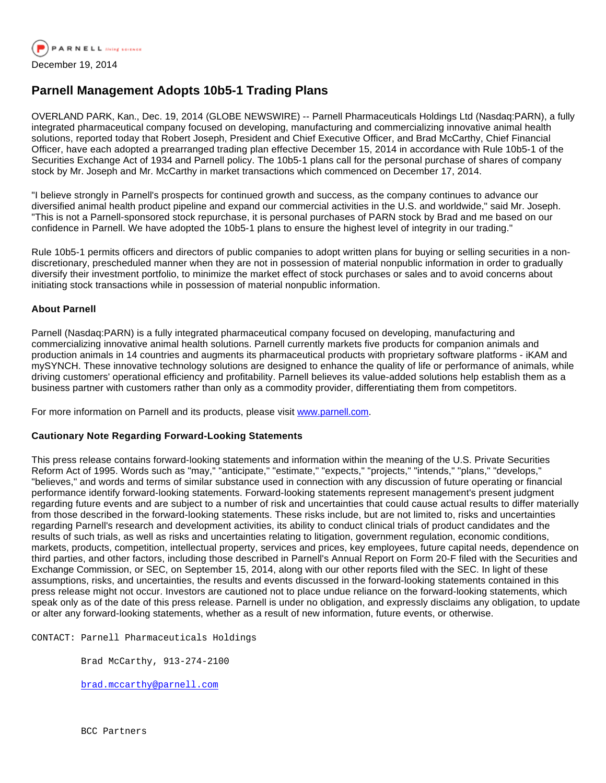

## **Parnell Management Adopts 10b5-1 Trading Plans**

OVERLAND PARK, Kan., Dec. 19, 2014 (GLOBE NEWSWIRE) -- Parnell Pharmaceuticals Holdings Ltd (Nasdaq:PARN), a fully integrated pharmaceutical company focused on developing, manufacturing and commercializing innovative animal health solutions, reported today that Robert Joseph, President and Chief Executive Officer, and Brad McCarthy, Chief Financial Officer, have each adopted a prearranged trading plan effective December 15, 2014 in accordance with Rule 10b5-1 of the Securities Exchange Act of 1934 and Parnell policy. The 10b5-1 plans call for the personal purchase of shares of company stock by Mr. Joseph and Mr. McCarthy in market transactions which commenced on December 17, 2014.

"I believe strongly in Parnell's prospects for continued growth and success, as the company continues to advance our diversified animal health product pipeline and expand our commercial activities in the U.S. and worldwide," said Mr. Joseph. "This is not a Parnell-sponsored stock repurchase, it is personal purchases of PARN stock by Brad and me based on our confidence in Parnell. We have adopted the 10b5-1 plans to ensure the highest level of integrity in our trading."

Rule 10b5-1 permits officers and directors of public companies to adopt written plans for buying or selling securities in a nondiscretionary, prescheduled manner when they are not in possession of material nonpublic information in order to gradually diversify their investment portfolio, to minimize the market effect of stock purchases or sales and to avoid concerns about initiating stock transactions while in possession of material nonpublic information.

## **About Parnell**

Parnell (Nasdaq:PARN) is a fully integrated pharmaceutical company focused on developing, manufacturing and commercializing innovative animal health solutions. Parnell currently markets five products for companion animals and production animals in 14 countries and augments its pharmaceutical products with proprietary software platforms - iKAM and mySYNCH. These innovative technology solutions are designed to enhance the quality of life or performance of animals, while driving customers' operational efficiency and profitability. Parnell believes its value-added solutions help establish them as a business partner with customers rather than only as a commodity provider, differentiating them from competitors.

For more information on Parnell and its products, please visit [www.parnell.com.](http://www.globenewswire.com/newsroom/ctr?d=10113128&l=6&a=www.parnell.com&u=http%3A%2F%2Fwww.parnell.com%2F)

## **Cautionary Note Regarding Forward-Looking Statements**

This press release contains forward-looking statements and information within the meaning of the U.S. Private Securities Reform Act of 1995. Words such as "may," "anticipate," "estimate," "expects," "projects," "intends," "plans," "develops," "believes," and words and terms of similar substance used in connection with any discussion of future operating or financial performance identify forward-looking statements. Forward-looking statements represent management's present judgment regarding future events and are subject to a number of risk and uncertainties that could cause actual results to differ materially from those described in the forward-looking statements. These risks include, but are not limited to, risks and uncertainties regarding Parnell's research and development activities, its ability to conduct clinical trials of product candidates and the results of such trials, as well as risks and uncertainties relating to litigation, government regulation, economic conditions, markets, products, competition, intellectual property, services and prices, key employees, future capital needs, dependence on third parties, and other factors, including those described in Parnell's Annual Report on Form 20-F filed with the Securities and Exchange Commission, or SEC, on September 15, 2014, along with our other reports filed with the SEC. In light of these assumptions, risks, and uncertainties, the results and events discussed in the forward-looking statements contained in this press release might not occur. Investors are cautioned not to place undue reliance on the forward-looking statements, which speak only as of the date of this press release. Parnell is under no obligation, and expressly disclaims any obligation, to update or alter any forward-looking statements, whether as a result of new information, future events, or otherwise.

CONTACT: Parnell Pharmaceuticals Holdings

Brad McCarthy, 913-274-2100

[brad.mccarthy@parnell.com](mailto:brad.mccarthy@parnell.com)